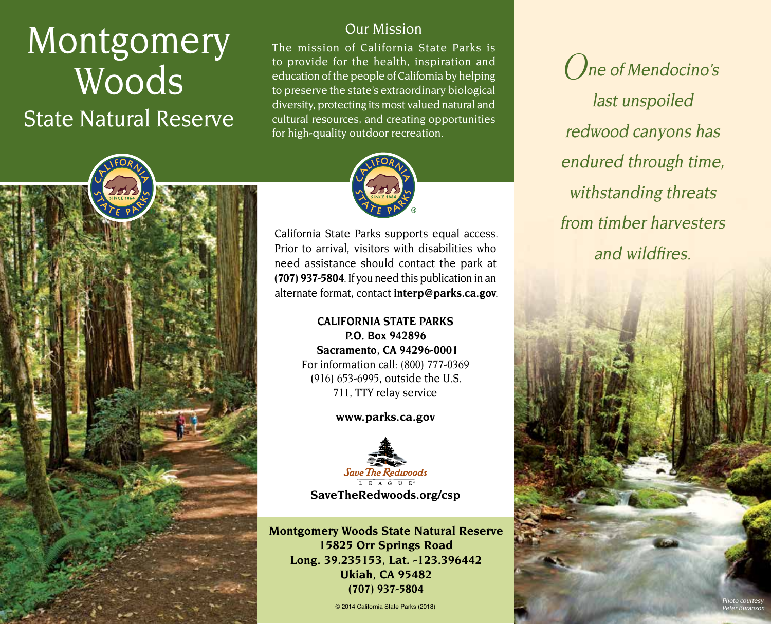# Montgomery Woods State Natural Reserve

# Our Mission

The mission of California State Parks is to provide for the health, inspiration and education of the people of California by helping to preserve the state's extraordinary biological diversity, protecting its most valued natural and cultural resources, and creating opportunities for high-quality outdoor recreation.



California State Parks supports equal access. Prior to arrival, visitors with disabilities who need assistance should contact the park at **(707) 937-5804**. If you need this publication in an alternate format, contact **[interp@parks.ca.gov](mailto:interp@parks.ca.gov)**.

# **CALIFORNIA STATE PARKS P.O. Box 942896 Sacramento, CA 94296-0001** For information call: (800) 777-0369 (916) 653-6995, outside the U.S. 711, TTY relay service

#### **[www.parks.ca.gov](http://www.parks.ca.gov)**



**Montgomery Woods State Natural Reserve 15825 Orr Springs Road Long. 39.235153, Lat. -123.396442 Ukiah, CA 95482 (707) 937-5804**

© 2014 California State Parks (2018)

**O**ne of Mendocino's last unspoiled redwood canyons has endured through time, withstanding threats from timber harvesters and wildfires.

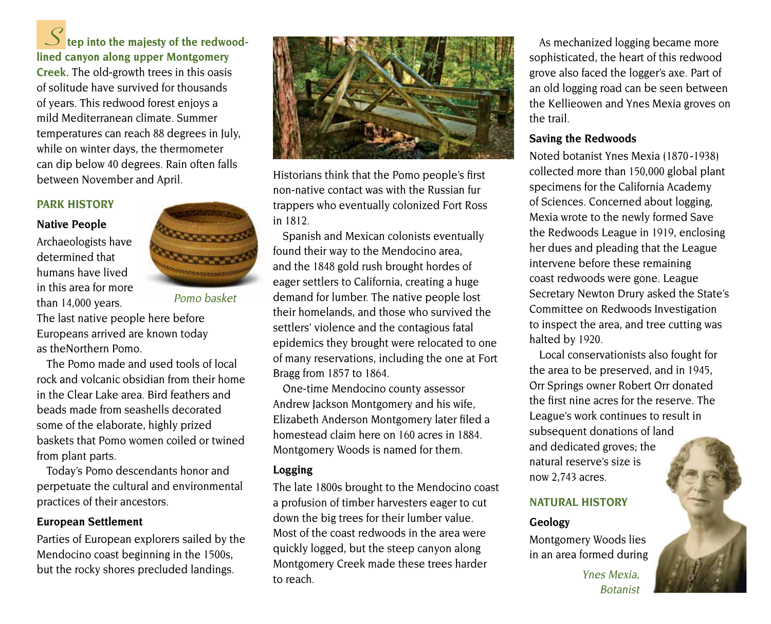**S tep into the majesty of the redwoodlined canyon along upper Montgomery** 

**Creek.** The old-growth trees in this oasis of solitude have survived for thousands of years. This redwood forest enjoys a mild Mediterranean climate. Summer temperatures can reach 88 degrees in July, while on winter days, the thermometer can dip below 40 degrees. Rain often falls between November and April.

#### **PARK HISTORY**

#### **Native People**

Archaeologists have determined that humans have lived in this area for more than 14,000 years.



Pomo basket

The last native people here before Europeans arrived are known today as theNorthern Pomo.

The Pomo made and used tools of local rock and volcanic obsidian from their home in the Clear Lake area. Bird feathers and beads made from seashells decorated some of the elaborate, highly prized baskets that Pomo women coiled or twined from plant parts.

Today's Pomo descendants honor and perpetuate the cultural and environmental practices of their ancestors.

#### **European Settlement**

Parties of European explorers sailed by the Mendocino coast beginning in the 1500s, but the rocky shores precluded landings.



Historians think that the Pomo people's first non-native contact was with the Russian fur trappers who eventually colonized Fort Ross in 1812.

Spanish and Mexican colonists eventually found their way to the Mendocino area, and the 1848 gold rush brought hordes of eager settlers to California, creating a huge demand for lumber. The native people lost their homelands, and those who survived the settlers' violence and the contagious fatal epidemics they brought were relocated to one of many reservations, including the one at Fort Bragg from 1857 to 1864.

One-time Mendocino county assessor Andrew Jackson Montgomery and his wife, Elizabeth Anderson Montgomery later filed a homestead claim here on 160 acres in 1884. Montgomery Woods is named for them.

#### **Logging**

The late 1800s brought to the Mendocino coast a profusion of timber harvesters eager to cut down the big trees for their lumber value. Most of the coast redwoods in the area were quickly logged, but the steep canyon along Montgomery Creek made these trees harder to reach.

As mechanized logging became more sophisticated, the heart of this redwood grove also faced the logger's axe. Part of an old logging road can be seen between the Kellieowen and Ynes Mexia groves on the trail.

#### **Saving the Redwoods**

Noted botanist Ynes Mexia (1870 -1938) collected more than 150,000 global plant specimens for the California Academy of Sciences. Concerned about logging, Mexia wrote to the newly formed Save the Redwoods League in 1919, enclosing her dues and pleading that the League intervene before these remaining coast redwoods were gone. League Secretary Newton Drury asked the State's Committee on Redwoods Investigation to inspect the area, and tree cutting was halted by 1920.

Local conservationists also fought for the area to be preserved, and in 1945, Orr Springs owner Robert Orr donated the first nine acres for the reserve. The League's work continues to result in subsequent donations of land and dedicated groves; the natural reserve's size is now 2,743 acres.

#### **NATURAL HISTORY**

# **Geology**

Montgomery Woods lies in an area formed during

> Ynes Mexia, Botanist

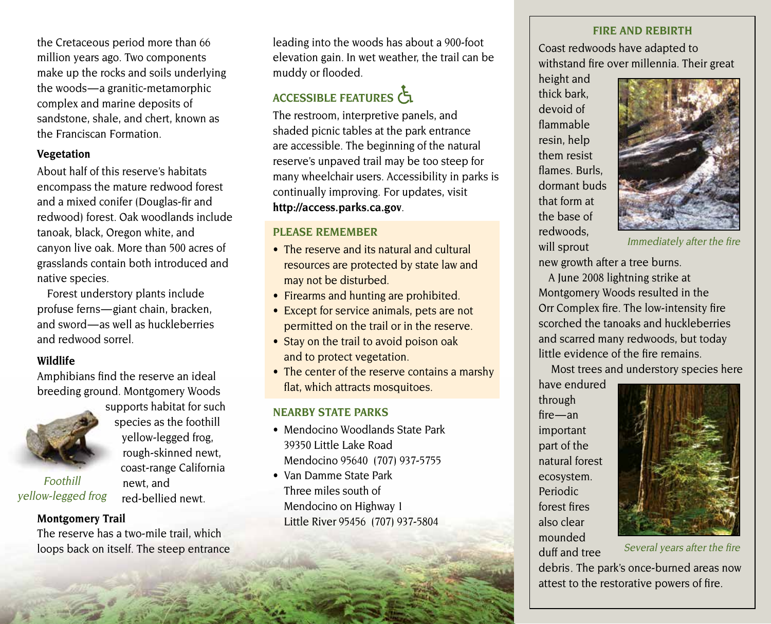the Cretaceous period more than 66 million years ago. Two components make up the rocks and soils underlying the woods — a granitic-metamorphic complex and marine deposits of sandstone, shale, and chert, known as the Franciscan Formation.

#### **Vegetation**

About half of this reserve's habitats encompass the mature redwood forest and a mixed conifer (Douglas-fir and redwood) forest. Oak woodlands include tanoak, black, Oregon white, and canyon live oak. More than 500 acres of grasslands contain both introduced and native species.

Forest understory plants include profuse ferns — giant chain, bracken, and sword — as well as huckleberries and redwood sorrel.

# **Wildlife**

Amphibians find the reserve an ideal breeding ground. Montgomery Woods



Foothill yellow-legged frog

supports habitat for such species as the foothill yellow-legged frog, rough-skinned newt, coast-range California newt, and red-bellied newt.

# **Montgomery Trail**

The reserve has a two-mile trail, which loops back on itself. The steep entrance leading into the woods has about a 900-foot elevation gain. In wet weather, the trail can be muddy or flooded.

# ACCESSIBLE FEATURES

The restroom, interpretive panels, and shaded picnic tables at the park entrance are accessible. The beginning of the natural reserve's unpaved trail may be too steep for many wheelchair users. Accessibility in parks is continually improving. For updates, visit **<http://access.parks.ca.gov>**.

# **PLEASE REMEMBER**

- The reserve and its natural and cultural resources are protected by state law and may not be disturbed.
- Firearms and hunting are prohibited.
- Except for service animals, pets are not permitted on the trail or in the reserve.
- Stay on the trail to avoid poison oak and to protect vegetation.
- The center of the reserve contains a marshy flat, which attracts mosquitoes.

# **NEARBY STATE PARKS**

- Mendocino Woodlands State Park 39350 Little Lake Road Mendocino 95640 (707) 937-5755
- Van Damme State Park Three miles south of Mendocino on Highway 1 Little River 95456 (707) 937-5804

#### **FIRE ANd REBIRTH**

Coast redwoods have adapted to withstand fire over millennia. Their great

height and thick bark, devoid of flammable resin, help them resist flames. Burls, dormant buds that form at the base of redwoods, will sprout



Immediately after the fire

new growth after a tree burns.

A June 2008 lightning strike at Montgomery Woods resulted in the Orr Complex fire. The low-intensity fire scorched the tanoaks and huckleberries and scarred many redwoods, but today little evidence of the fire remains.

Most trees and understory species here

have endured through fire — an important part of the natural forest ecosystem. Periodic forest fires also clear mounded duff and tree



Several years after the fire

debris . The park's once-burned areas now attest to the restorative powers of fire.